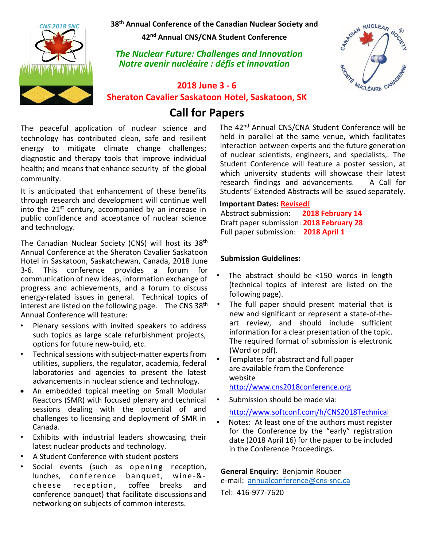

**38 th Annual Conference of the Canadian Nuclear Society and**

**42 nd Annual CNS/CNA Student Conference**

*The Nuclear Future: Challenges and Innovation Notre avenir nucléaire : défis et innovation*





## **2018 June 3 - 6 Sheraton Cavalier Saskatoon Hotel, Saskatoon, SK**

# **Call for Papers**

The peaceful application of nuclear science and technology has contributed clean, safe and resilient energy to mitigate climate change challenges; diagnostic and therapy tools that improve individual health; and means that enhance security of the global community.

It is anticipated that enhancement of these benefits through research and development will continue well into the  $21^{st}$  century, accompanied by an increase in public confidence and acceptance of nuclear science and technology.

The Canadian Nuclear Society (CNS) will host its 38<sup>th</sup> Annual Conference at the Sheraton Cavalier Saskatoon Hotel in Saskatoon, Saskatchewan, Canada, 2018 June 3-6. This conference provides a forum for communication of new ideas, information exchange of progress and achievements, and a forum to discuss energy‐related issues in general. Technical topics of interest are listed on the following page. The CNS 38<sup>th</sup> Annual Conference will feature:

- Plenary sessions with invited speakers to address such topics as large scale refurbishment projects, options for future new-build, etc.
- Technical sessions with subject‐matter experts from utilities, suppliers, the regulator, academia, federal laboratories and agencies to present the latest advancements in nuclear science and technology.
- An embedded topical meeting on Small Modular Reactors (SMR) with focused plenary and technical sessions dealing with the potential of and challenges to licensing and deployment of SMR in Canada.
- Exhibits with industrial leaders showcasing their latest nuclear products and technology.
- A Student Conference with student posters
- Social events (such as opening reception, lunches, conference banquet, wine-&-<br>cheese reception, coffee breaks and cheese reception, coffee breaks and conference banquet) that facilitate discussions and networking on subjects of common interests.

The 42<sup>nd</sup> Annual CNS/CNA Student Conference will be held in parallel at the same venue, which facilitates interaction between experts and the future generation of nuclear scientists, engineers, and specialists,. The Student Conference will feature a poster session, at which university students will showcase their latest research findings and advancements. A Call for Students' Extended Abstracts will be issued separately.

#### **Important Dates: Revised!**

Abstract submission: **2018 February 14** Draft paper submission: **2018 February 28** Full paper submission: **2018 April 1**

#### **Submission Guidelines:**

- The abstract should be  $<150$  words in length (technical topics of interest are listed on the following page).
- The full paper should present material that is new and significant or represent a state‐of‐the‐ art review, and should include sufficient information for a clear presentation of the topic. The required format of submission is electronic (Word or pdf).
- Templates for abstract and full paper are available from the Conference website [http://www.cns2018conference.org](http://www.cns2018conference.org/)
- Submission should be made via:

## <http://www.softconf.com/h/CNS2018Technical>

Notes: At least one of the authors must register for the Conference by the "early" registration date (2018 April 16) for the paper to be included in the Conference Proceedings.

## **General Enquiry:** Benjamin Rouben

e‐mail: [annualconference@c](mailto:annualconference@cnsâsnc.ca)ns‐snc.ca Tel: 416‐977‐7620